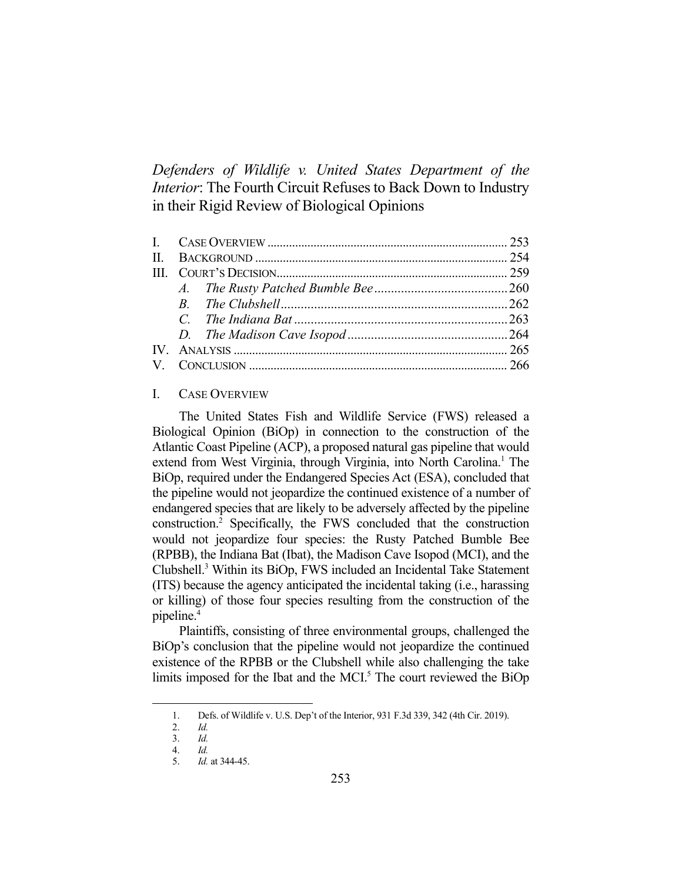*Defenders of Wildlife v. United States Department of the Interior*: The Fourth Circuit Refuses to Back Down to Industry in their Rigid Review of Biological Opinions

#### I. CASE OVERVIEW

 The United States Fish and Wildlife Service (FWS) released a Biological Opinion (BiOp) in connection to the construction of the Atlantic Coast Pipeline (ACP), a proposed natural gas pipeline that would extend from West Virginia, through Virginia, into North Carolina.<sup>1</sup> The BiOp, required under the Endangered Species Act (ESA), concluded that the pipeline would not jeopardize the continued existence of a number of endangered species that are likely to be adversely affected by the pipeline construction.2 Specifically, the FWS concluded that the construction would not jeopardize four species: the Rusty Patched Bumble Bee (RPBB), the Indiana Bat (Ibat), the Madison Cave Isopod (MCI), and the Clubshell.3 Within its BiOp, FWS included an Incidental Take Statement (ITS) because the agency anticipated the incidental taking (i.e., harassing or killing) of those four species resulting from the construction of the pipeline.4

 Plaintiffs, consisting of three environmental groups, challenged the BiOp's conclusion that the pipeline would not jeopardize the continued existence of the RPBB or the Clubshell while also challenging the take limits imposed for the Ibat and the MCI.<sup>5</sup> The court reviewed the BiOp

 <sup>1.</sup> Defs. of Wildlife v. U.S. Dep't of the Interior, 931 F.3d 339, 342 (4th Cir. 2019).

 <sup>2.</sup> *Id.* 

 <sup>3.</sup> *Id.*  4. *Id.* 

 <sup>5.</sup> *Id.* at 344-45.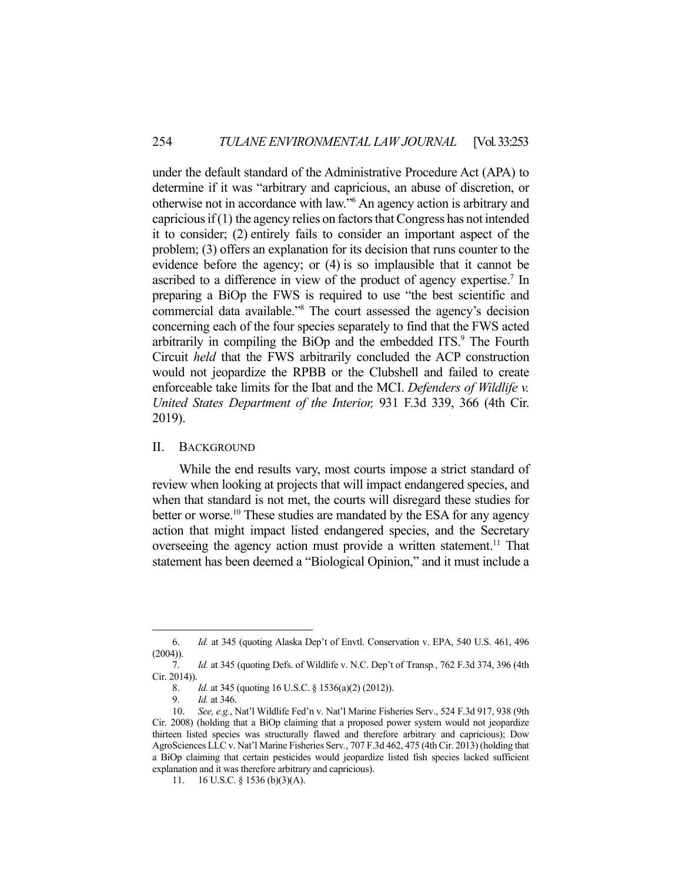under the default standard of the Administrative Procedure Act (APA) to determine if it was "arbitrary and capricious, an abuse of discretion, or otherwise not in accordance with law."6 An agency action is arbitrary and capricious if (1) the agency relies on factors that Congress has not intended it to consider; (2) entirely fails to consider an important aspect of the problem; (3) offers an explanation for its decision that runs counter to the evidence before the agency; or (4) is so implausible that it cannot be ascribed to a difference in view of the product of agency expertise.<sup>7</sup> In preparing a BiOp the FWS is required to use "the best scientific and commercial data available."8 The court assessed the agency's decision concerning each of the four species separately to find that the FWS acted arbitrarily in compiling the BiOp and the embedded ITS.<sup>9</sup> The Fourth Circuit *held* that the FWS arbitrarily concluded the ACP construction would not jeopardize the RPBB or the Clubshell and failed to create enforceable take limits for the Ibat and the MCI. *Defenders of Wildlife v. United States Department of the Interior,* 931 F.3d 339, 366 (4th Cir. 2019).

### II. BACKGROUND

 While the end results vary, most courts impose a strict standard of review when looking at projects that will impact endangered species, and when that standard is not met, the courts will disregard these studies for better or worse.<sup>10</sup> These studies are mandated by the ESA for any agency action that might impact listed endangered species, and the Secretary overseeing the agency action must provide a written statement.<sup>11</sup> That statement has been deemed a "Biological Opinion," and it must include a

 <sup>6.</sup> *Id.* at 345 (quoting Alaska Dep't of Envtl. Conservation v. EPA, 540 U.S. 461, 496  $(2004)$ ).

 <sup>7.</sup> *Id.* at 345 (quoting Defs. of Wildlife v. N.C. Dep't of Transp*.*, 762 F.3d 374, 396 (4th Cir. 2014)).

 <sup>8.</sup> *Id.* at 345 (quoting 16 U.S.C. § 1536(a)(2) (2012)).

 <sup>9.</sup> *Id.* at 346.

 <sup>10.</sup> *See, e.g.*, Nat'l Wildlife Fed'n v. Nat'l Marine Fisheries Serv., 524 F.3d 917, 938 (9th Cir. 2008) (holding that a BiOp claiming that a proposed power system would not jeopardize thirteen listed species was structurally flawed and therefore arbitrary and capricious); Dow AgroSciences LLC v. Nat'l Marine Fisheries Serv*.*, 707 F.3d 462, 475 (4th Cir. 2013) (holding that a BiOp claiming that certain pesticides would jeopardize listed fish species lacked sufficient explanation and it was therefore arbitrary and capricious).

 <sup>11. 16</sup> U.S.C. § 1536 (b)(3)(A).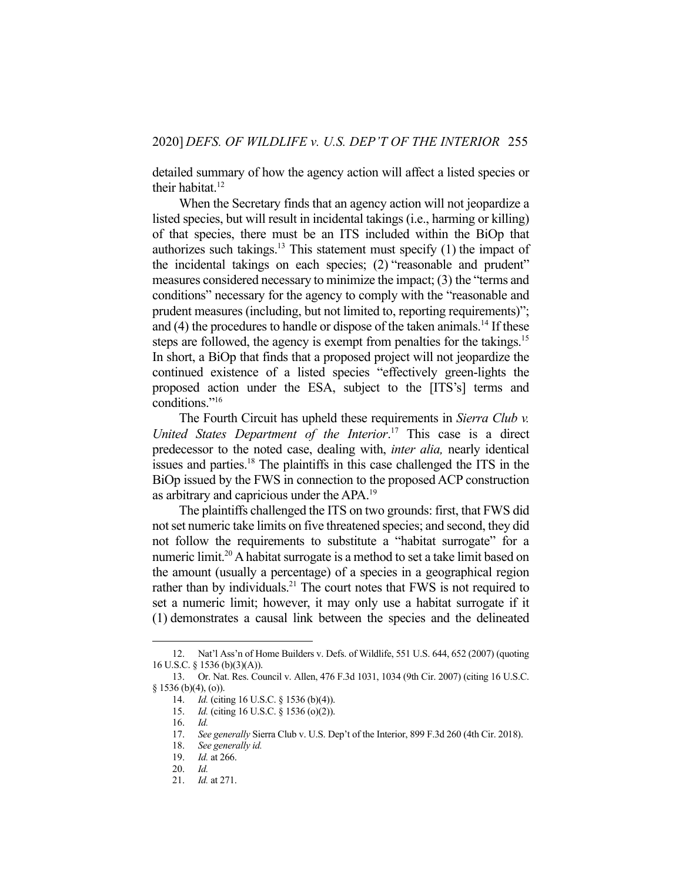detailed summary of how the agency action will affect a listed species or their habitat. $12$ 

 When the Secretary finds that an agency action will not jeopardize a listed species, but will result in incidental takings (i.e., harming or killing) of that species, there must be an ITS included within the BiOp that authorizes such takings.<sup>13</sup> This statement must specify  $(1)$  the impact of the incidental takings on each species; (2) "reasonable and prudent" measures considered necessary to minimize the impact; (3) the "terms and conditions" necessary for the agency to comply with the "reasonable and prudent measures (including, but not limited to, reporting requirements)"; and  $(4)$  the procedures to handle or dispose of the taken animals.<sup>14</sup> If these steps are followed, the agency is exempt from penalties for the takings.<sup>15</sup> In short, a BiOp that finds that a proposed project will not jeopardize the continued existence of a listed species "effectively green-lights the proposed action under the ESA, subject to the [ITS's] terms and conditions."16

 The Fourth Circuit has upheld these requirements in *Sierra Club v. United States Department of the Interior*. 17 This case is a direct predecessor to the noted case, dealing with, *inter alia,* nearly identical issues and parties.18 The plaintiffs in this case challenged the ITS in the BiOp issued by the FWS in connection to the proposed ACP construction as arbitrary and capricious under the APA.19

 The plaintiffs challenged the ITS on two grounds: first, that FWS did not set numeric take limits on five threatened species; and second, they did not follow the requirements to substitute a "habitat surrogate" for a numeric limit.<sup>20</sup> A habitat surrogate is a method to set a take limit based on the amount (usually a percentage) of a species in a geographical region rather than by individuals.<sup>21</sup> The court notes that FWS is not required to set a numeric limit; however, it may only use a habitat surrogate if it (1) demonstrates a causal link between the species and the delineated

 <sup>12.</sup> Nat'l Ass'n of Home Builders v. Defs. of Wildlife, 551 U.S. 644, 652 (2007) (quoting 16 U.S.C. § 1536 (b)(3)(A)).

 <sup>13.</sup> Or. Nat. Res. Council v. Allen, 476 F.3d 1031, 1034 (9th Cir. 2007) (citing 16 U.S.C.  $§ 1536 (b)(4), (o)).$ 

 <sup>14.</sup> *Id.* (citing 16 U.S.C. § 1536 (b)(4)).

 <sup>15.</sup> *Id.* (citing 16 U.S.C. § 1536 (o)(2)).

 <sup>16.</sup> *Id.*

 <sup>17.</sup> *See generally* Sierra Club v. U.S. Dep't of the Interior, 899 F.3d 260 (4th Cir. 2018).

 <sup>18.</sup> *See generally id.* 

 <sup>19.</sup> *Id.* at 266.

 <sup>20.</sup> *Id.* 

 <sup>21.</sup> *Id.* at 271.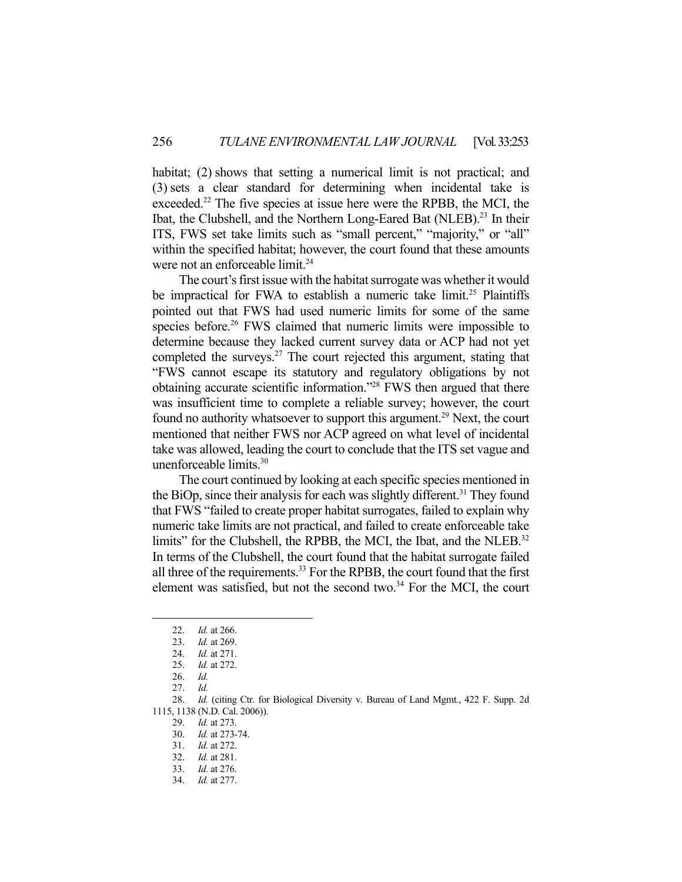habitat; (2) shows that setting a numerical limit is not practical; and (3) sets a clear standard for determining when incidental take is exceeded.<sup>22</sup> The five species at issue here were the RPBB, the MCI, the Ibat, the Clubshell, and the Northern Long-Eared Bat (NLEB).<sup>23</sup> In their ITS, FWS set take limits such as "small percent," "majority," or "all" within the specified habitat; however, the court found that these amounts were not an enforceable limit.<sup>24</sup>

 The court's first issue with the habitat surrogate was whether it would be impractical for FWA to establish a numeric take limit.<sup>25</sup> Plaintiffs pointed out that FWS had used numeric limits for some of the same species before.<sup>26</sup> FWS claimed that numeric limits were impossible to determine because they lacked current survey data or ACP had not yet completed the surveys. $27$  The court rejected this argument, stating that "FWS cannot escape its statutory and regulatory obligations by not obtaining accurate scientific information."28 FWS then argued that there was insufficient time to complete a reliable survey; however, the court found no authority whatsoever to support this argument.<sup>29</sup> Next, the court mentioned that neither FWS nor ACP agreed on what level of incidental take was allowed, leading the court to conclude that the ITS set vague and unenforceable limits.30

 The court continued by looking at each specific species mentioned in the BiOp, since their analysis for each was slightly different.<sup>31</sup> They found that FWS "failed to create proper habitat surrogates, failed to explain why numeric take limits are not practical, and failed to create enforceable take limits" for the Clubshell, the RPBB, the MCI, the Ibat, and the NLEB.<sup>32</sup> In terms of the Clubshell, the court found that the habitat surrogate failed all three of the requirements.<sup>33</sup> For the RPBB, the court found that the first element was satisfied, but not the second two. $34$  For the MCI, the court

 <sup>22.</sup> *Id.* at 266.

 <sup>23.</sup> *Id.* at 269.

 <sup>24.</sup> *Id.* at 271.

 <sup>25.</sup> *Id.* at 272.

 <sup>26.</sup> *Id.* 

 <sup>27.</sup> *Id.* 

 <sup>28.</sup> *Id.* (citing Ctr. for Biological Diversity v. Bureau of Land Mgmt*.*, 422 F. Supp. 2d 1115, 1138 (N.D. Cal. 2006)).

 <sup>29.</sup> *Id.* at 273.

 <sup>30.</sup> *Id.* at 273-74.

 <sup>31.</sup> *Id.* at 272.

 <sup>32.</sup> *Id.* at 281.

 <sup>33.</sup> *Id.* at 276.

 <sup>34.</sup> *Id.* at 277.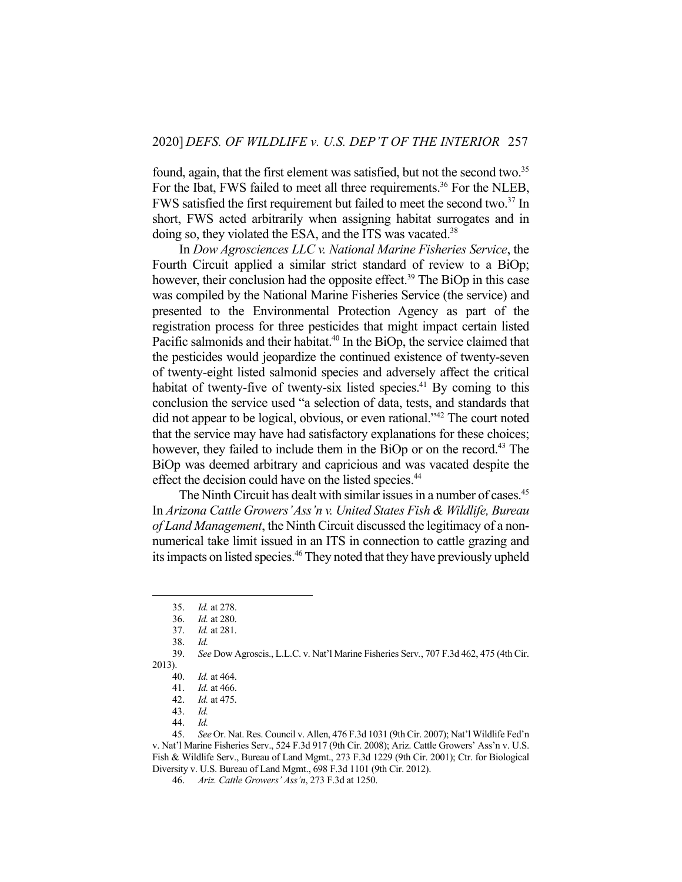found, again, that the first element was satisfied, but not the second two.<sup>35</sup> For the Ibat, FWS failed to meet all three requirements.<sup>36</sup> For the NLEB, FWS satisfied the first requirement but failed to meet the second two.<sup>37</sup> In short, FWS acted arbitrarily when assigning habitat surrogates and in doing so, they violated the ESA, and the ITS was vacated.<sup>38</sup>

 In *Dow Agrosciences LLC v. National Marine Fisheries Service*, the Fourth Circuit applied a similar strict standard of review to a BiOp; however, their conclusion had the opposite effect.<sup>39</sup> The BiOp in this case was compiled by the National Marine Fisheries Service (the service) and presented to the Environmental Protection Agency as part of the registration process for three pesticides that might impact certain listed Pacific salmonids and their habitat.<sup>40</sup> In the BiOp, the service claimed that the pesticides would jeopardize the continued existence of twenty-seven of twenty-eight listed salmonid species and adversely affect the critical habitat of twenty-five of twenty-six listed species.<sup>41</sup> By coming to this conclusion the service used "a selection of data, tests, and standards that did not appear to be logical, obvious, or even rational."42 The court noted that the service may have had satisfactory explanations for these choices; however, they failed to include them in the BiOp or on the record.<sup>43</sup> The BiOp was deemed arbitrary and capricious and was vacated despite the effect the decision could have on the listed species.<sup>44</sup>

The Ninth Circuit has dealt with similar issues in a number of cases.<sup>45</sup> In *Arizona Cattle Growers' Ass'n v. United States Fish & Wildlife, Bureau of Land Management*, the Ninth Circuit discussed the legitimacy of a nonnumerical take limit issued in an ITS in connection to cattle grazing and its impacts on listed species.<sup>46</sup> They noted that they have previously upheld

 <sup>35.</sup> *Id.* at 278.

 <sup>36.</sup> *Id.* at 280.

 <sup>37.</sup> *Id.* at 281.

 <sup>38.</sup> *Id.*

 <sup>39.</sup> *See* Dow Agroscis., L.L.C. v. Nat'l Marine Fisheries Serv*.*, 707 F.3d 462, 475 (4th Cir. 2013).

 <sup>40.</sup> *Id.* at 464.

 <sup>41.</sup> *Id.* at 466.

 <sup>42.</sup> *Id.* at 475.

 <sup>43.</sup> *Id.* 

 <sup>44.</sup> *Id.* 

 <sup>45.</sup> *See* Or. Nat. Res. Council v. Allen, 476 F.3d 1031 (9th Cir. 2007); Nat'l Wildlife Fed'n v. Nat'l Marine Fisheries Serv., 524 F.3d 917 (9th Cir. 2008); Ariz. Cattle Growers' Ass'n v. U.S. Fish & Wildlife Serv., Bureau of Land Mgmt., 273 F.3d 1229 (9th Cir. 2001); Ctr. for Biological Diversity v. U.S. Bureau of Land Mgmt., 698 F.3d 1101 (9th Cir. 2012).

 <sup>46.</sup> *Ariz. Cattle Growers' Ass'n*, 273 F.3d at 1250.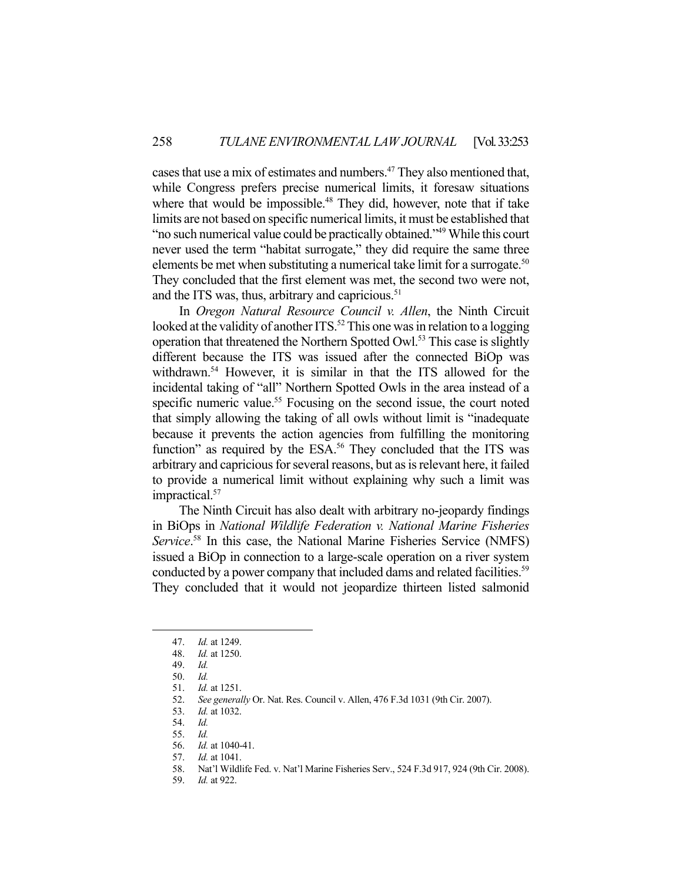cases that use a mix of estimates and numbers.<sup>47</sup> They also mentioned that, while Congress prefers precise numerical limits, it foresaw situations where that would be impossible.<sup>48</sup> They did, however, note that if take limits are not based on specific numerical limits, it must be established that "no such numerical value could be practically obtained."49 While this court never used the term "habitat surrogate," they did require the same three elements be met when substituting a numerical take limit for a surrogate.<sup>50</sup> They concluded that the first element was met, the second two were not, and the ITS was, thus, arbitrary and capricious. $51$ 

 In *Oregon Natural Resource Council v. Allen*, the Ninth Circuit looked at the validity of another  $ITS.^{52}$  This one was in relation to a logging operation that threatened the Northern Spotted Owl.<sup>53</sup> This case is slightly different because the ITS was issued after the connected BiOp was withdrawn.<sup>54</sup> However, it is similar in that the ITS allowed for the incidental taking of "all" Northern Spotted Owls in the area instead of a specific numeric value.<sup>55</sup> Focusing on the second issue, the court noted that simply allowing the taking of all owls without limit is "inadequate because it prevents the action agencies from fulfilling the monitoring function" as required by the ESA.<sup>56</sup> They concluded that the ITS was arbitrary and capricious for several reasons, but as is relevant here, it failed to provide a numerical limit without explaining why such a limit was impractical.<sup>57</sup>

 The Ninth Circuit has also dealt with arbitrary no-jeopardy findings in BiOps in *National Wildlife Federation v. National Marine Fisheries*  Service.<sup>58</sup> In this case, the National Marine Fisheries Service (NMFS) issued a BiOp in connection to a large-scale operation on a river system conducted by a power company that included dams and related facilities.<sup>59</sup> They concluded that it would not jeopardize thirteen listed salmonid

57. *Id.* at 1041.

 <sup>47.</sup> *Id.* at 1249.

 <sup>48.</sup> *Id.* at 1250.

 <sup>49.</sup> *Id.* 

 <sup>50.</sup> *Id.* 

<sup>51.</sup> *Id.* at 1251.<br>52. *See general* 52. *See generally* Or. Nat. Res. Council v. Allen, 476 F.3d 1031 (9th Cir. 2007).

 <sup>53.</sup> *Id.* at 1032.

 <sup>54.</sup> *Id.* 

 <sup>55.</sup> *Id.* 

 <sup>56.</sup> *Id.* at 1040-41.

 <sup>58.</sup> Nat'l Wildlife Fed. v. Nat'l Marine Fisheries Serv., 524 F.3d 917, 924 (9th Cir. 2008).

 <sup>59.</sup> *Id.* at 922.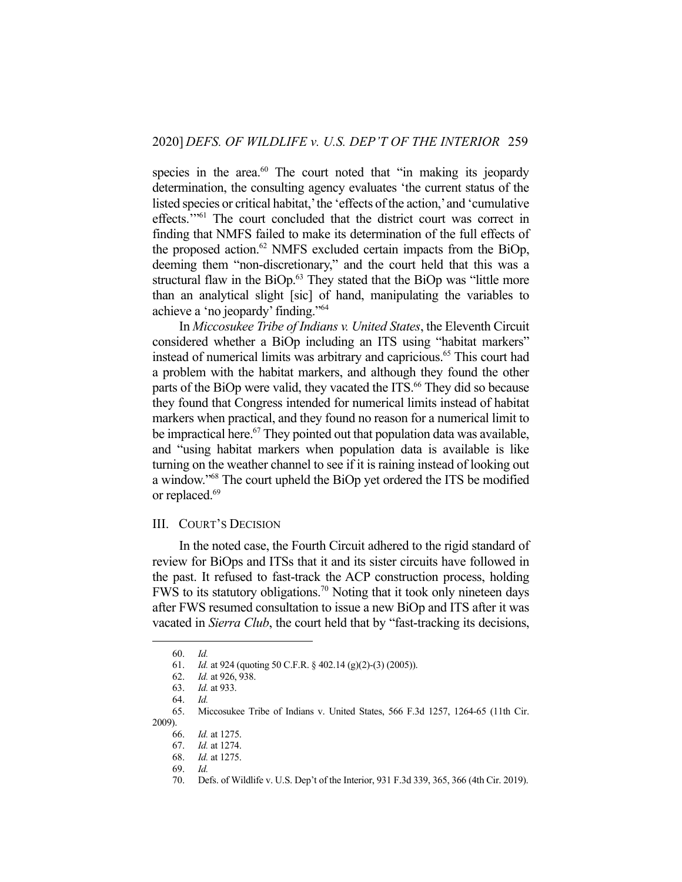species in the area.<sup>60</sup> The court noted that "in making its jeopardy determination, the consulting agency evaluates 'the current status of the listed species or critical habitat,' the 'effects of the action,' and 'cumulative effects.'"61 The court concluded that the district court was correct in finding that NMFS failed to make its determination of the full effects of the proposed action.<sup>62</sup> NMFS excluded certain impacts from the BiOp, deeming them "non-discretionary," and the court held that this was a structural flaw in the  $BiOp<sup>63</sup>$  They stated that the  $BiOp$  was "little more than an analytical slight [sic] of hand, manipulating the variables to achieve a 'no jeopardy' finding."64

 In *Miccosukee Tribe of Indians v. United States*, the Eleventh Circuit considered whether a BiOp including an ITS using "habitat markers" instead of numerical limits was arbitrary and capricious.<sup>65</sup> This court had a problem with the habitat markers, and although they found the other parts of the BiOp were valid, they vacated the ITS.<sup>66</sup> They did so because they found that Congress intended for numerical limits instead of habitat markers when practical, and they found no reason for a numerical limit to be impractical here.<sup>67</sup> They pointed out that population data was available, and "using habitat markers when population data is available is like turning on the weather channel to see if it is raining instead of looking out a window."68 The court upheld the BiOp yet ordered the ITS be modified or replaced.<sup>69</sup>

### III. COURT'S DECISION

 In the noted case, the Fourth Circuit adhered to the rigid standard of review for BiOps and ITSs that it and its sister circuits have followed in the past. It refused to fast-track the ACP construction process, holding FWS to its statutory obligations.<sup>70</sup> Noting that it took only nineteen days after FWS resumed consultation to issue a new BiOp and ITS after it was vacated in *Sierra Club*, the court held that by "fast-tracking its decisions,

 <sup>60.</sup> *Id.*

 <sup>61.</sup> *Id.* at 924 (quoting 50 C.F.R. § 402.14 (g)(2)-(3) (2005)).

 <sup>62.</sup> *Id.* at 926, 938.

 <sup>63.</sup> *Id.* at 933.

 <sup>64.</sup> *Id.* 

 <sup>65.</sup> Miccosukee Tribe of Indians v. United States, 566 F.3d 1257, 1264-65 (11th Cir. 2009).

 <sup>66.</sup> *Id.* at 1275.

 <sup>67.</sup> *Id.* at 1274.

 <sup>68.</sup> *Id.* at 1275.

 <sup>69.</sup> *Id.* 

 <sup>70.</sup> Defs. of Wildlife v. U.S. Dep't of the Interior, 931 F.3d 339, 365, 366 (4th Cir. 2019).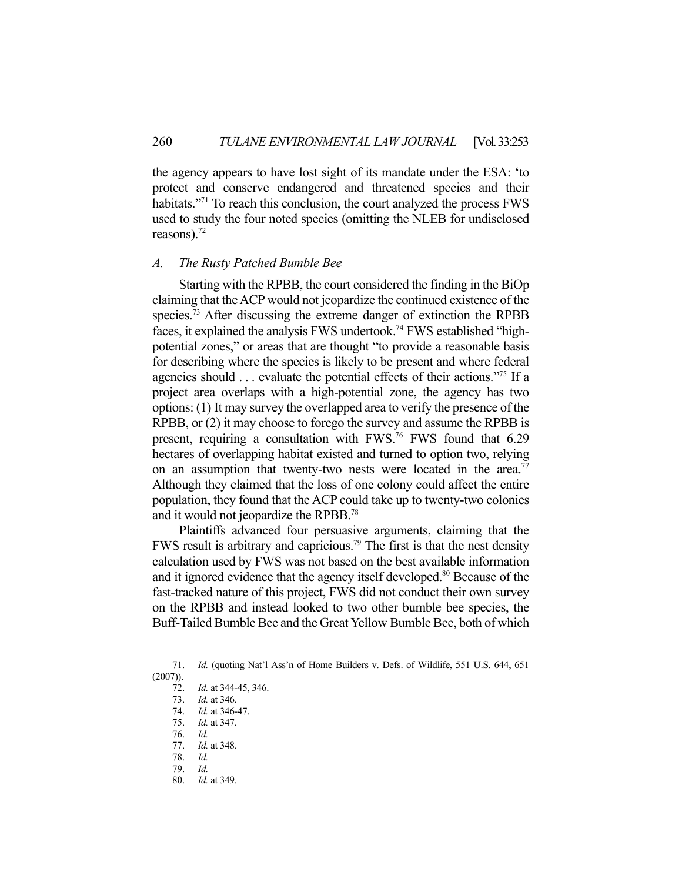the agency appears to have lost sight of its mandate under the ESA: 'to protect and conserve endangered and threatened species and their habitats."<sup>71</sup> To reach this conclusion, the court analyzed the process FWS used to study the four noted species (omitting the NLEB for undisclosed reasons). $72$ 

### *A. The Rusty Patched Bumble Bee*

 Starting with the RPBB, the court considered the finding in the BiOp claiming that the ACP would not jeopardize the continued existence of the species.<sup>73</sup> After discussing the extreme danger of extinction the RPBB faces, it explained the analysis FWS undertook.74 FWS established "highpotential zones," or areas that are thought "to provide a reasonable basis for describing where the species is likely to be present and where federal agencies should . . . evaluate the potential effects of their actions."75 If a project area overlaps with a high-potential zone, the agency has two options: (1) It may survey the overlapped area to verify the presence of the RPBB, or (2) it may choose to forego the survey and assume the RPBB is present, requiring a consultation with FWS.<sup>76</sup> FWS found that 6.29 hectares of overlapping habitat existed and turned to option two, relying on an assumption that twenty-two nests were located in the area.<sup>77</sup> Although they claimed that the loss of one colony could affect the entire population, they found that the ACP could take up to twenty-two colonies and it would not jeopardize the RPBB.78

 Plaintiffs advanced four persuasive arguments, claiming that the FWS result is arbitrary and capricious.<sup>79</sup> The first is that the nest density calculation used by FWS was not based on the best available information and it ignored evidence that the agency itself developed.<sup>80</sup> Because of the fast-tracked nature of this project, FWS did not conduct their own survey on the RPBB and instead looked to two other bumble bee species, the Buff-Tailed Bumble Bee and the Great Yellow Bumble Bee, both of which

<sup>71.</sup> *Id.* (quoting Nat'l Ass'n of Home Builders v. Defs. of Wildlife, 551 U.S. 644, 651 (2007)).

 <sup>72.</sup> *Id.* at 344-45, 346.

 <sup>73.</sup> *Id.* at 346.

 <sup>74.</sup> *Id.* at 346-47.

 <sup>75.</sup> *Id.* at 347.

 <sup>76.</sup> *Id.* 

 <sup>77.</sup> *Id.* at 348.

 <sup>78.</sup> *Id.* 

 <sup>79.</sup> *Id.* 

 <sup>80.</sup> *Id.* at 349.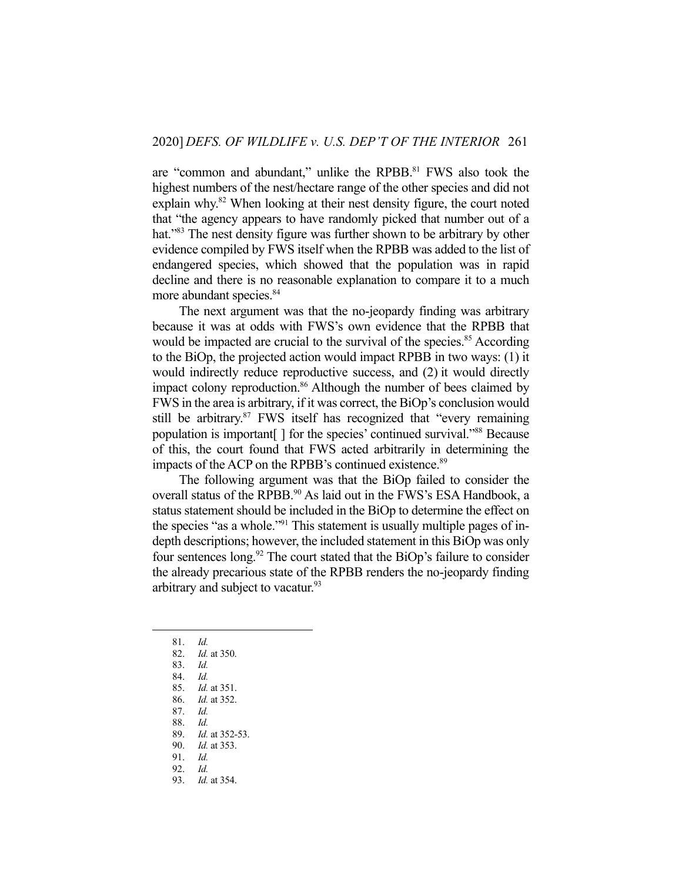are "common and abundant," unlike the RPBB.<sup>81</sup> FWS also took the highest numbers of the nest/hectare range of the other species and did not explain why.<sup>82</sup> When looking at their nest density figure, the court noted that "the agency appears to have randomly picked that number out of a hat."<sup>83</sup> The nest density figure was further shown to be arbitrary by other evidence compiled by FWS itself when the RPBB was added to the list of endangered species, which showed that the population was in rapid decline and there is no reasonable explanation to compare it to a much more abundant species.<sup>84</sup>

 The next argument was that the no-jeopardy finding was arbitrary because it was at odds with FWS's own evidence that the RPBB that would be impacted are crucial to the survival of the species.<sup>85</sup> According to the BiOp, the projected action would impact RPBB in two ways: (1) it would indirectly reduce reproductive success, and (2) it would directly impact colony reproduction.<sup>86</sup> Although the number of bees claimed by FWS in the area is arbitrary, if it was correct, the BiOp's conclusion would still be arbitrary.<sup>87</sup> FWS itself has recognized that "every remaining" population is important[ ] for the species' continued survival."88 Because of this, the court found that FWS acted arbitrarily in determining the impacts of the ACP on the RPBB's continued existence.<sup>89</sup>

 The following argument was that the BiOp failed to consider the overall status of the RPBB.<sup>90</sup> As laid out in the FWS's ESA Handbook, a status statement should be included in the BiOp to determine the effect on the species "as a whole."<sup>91</sup> This statement is usually multiple pages of indepth descriptions; however, the included statement in this BiOp was only four sentences long.<sup>92</sup> The court stated that the BiOp's failure to consider the already precarious state of the RPBB renders the no-jeopardy finding arbitrary and subject to vacatur.<sup>93</sup>

84. *Id.* 

- 87. *Id.* 
	- 88. *Id.*
	- 89. *Id.* at 352-53.
	- 90. *Id.* at 353.
	- 91. *Id.*
	- 92. *Id.*
	- 93. *Id.* at 354.

 <sup>81.</sup> *Id.* 

 <sup>82.</sup> *Id.* at 350.

 <sup>83.</sup> *Id.* 

 <sup>85.</sup> *Id.* at 351.

 <sup>86.</sup> *Id.* at 352.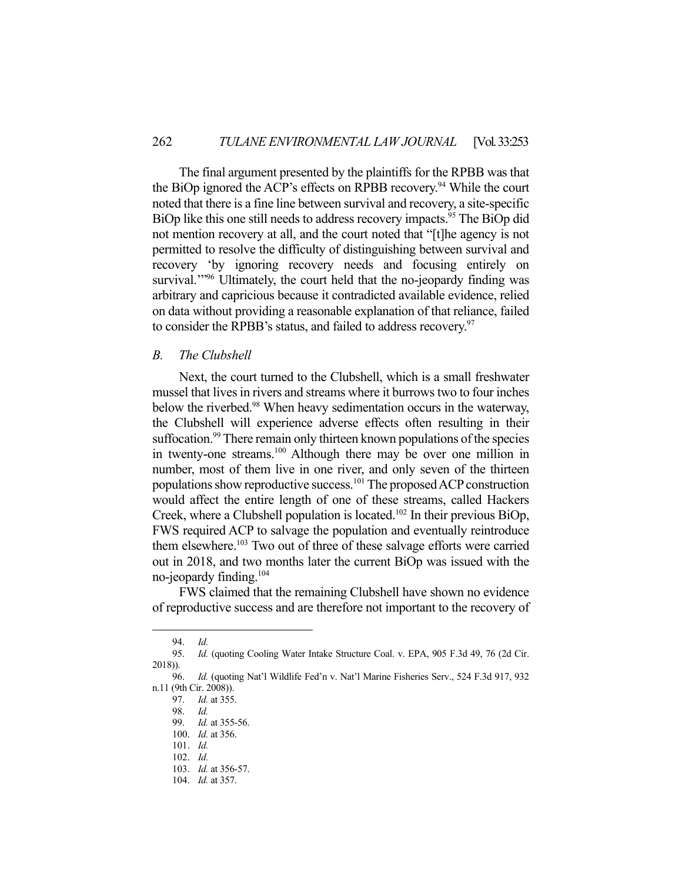The final argument presented by the plaintiffs for the RPBB was that the BiOp ignored the ACP's effects on RPBB recovery.<sup>94</sup> While the court noted that there is a fine line between survival and recovery, a site-specific BiOp like this one still needs to address recovery impacts.<sup>95</sup> The BiOp did not mention recovery at all, and the court noted that "[t]he agency is not permitted to resolve the difficulty of distinguishing between survival and recovery 'by ignoring recovery needs and focusing entirely on survival.<sup>""96</sup> Ultimately, the court held that the no-jeopardy finding was arbitrary and capricious because it contradicted available evidence, relied on data without providing a reasonable explanation of that reliance, failed to consider the RPBB's status, and failed to address recovery.<sup>97</sup>

# *B. The Clubshell*

 Next, the court turned to the Clubshell, which is a small freshwater mussel that lives in rivers and streams where it burrows two to four inches below the riverbed.<sup>98</sup> When heavy sedimentation occurs in the waterway, the Clubshell will experience adverse effects often resulting in their suffocation.<sup>99</sup> There remain only thirteen known populations of the species in twenty-one streams.<sup>100</sup> Although there may be over one million in number, most of them live in one river, and only seven of the thirteen populations show reproductive success.101 The proposed ACP construction would affect the entire length of one of these streams, called Hackers Creek, where a Clubshell population is located.<sup>102</sup> In their previous BiOp, FWS required ACP to salvage the population and eventually reintroduce them elsewhere.<sup>103</sup> Two out of three of these salvage efforts were carried out in 2018, and two months later the current BiOp was issued with the no-jeopardy finding.104

 FWS claimed that the remaining Clubshell have shown no evidence of reproductive success and are therefore not important to the recovery of

 <sup>94.</sup> *Id.* 

 <sup>95.</sup> *Id.* (quoting Cooling Water Intake Structure Coal. v. EPA, 905 F.3d 49, 76 (2d Cir. 2018)).

 <sup>96.</sup> *Id.* (quoting Nat'l Wildlife Fed'n v. Nat'l Marine Fisheries Serv., 524 F.3d 917, 932 n.11 (9th Cir. 2008)).

 <sup>97.</sup> *Id.* at 355.

 <sup>98.</sup> *Id.* 

 <sup>99.</sup> *Id.* at 355-56. 100. *Id.* at 356.

 <sup>101.</sup> *Id.*  102. *Id.* 

 <sup>103.</sup> *Id.* at 356-57.

 <sup>104.</sup> *Id.* at 357.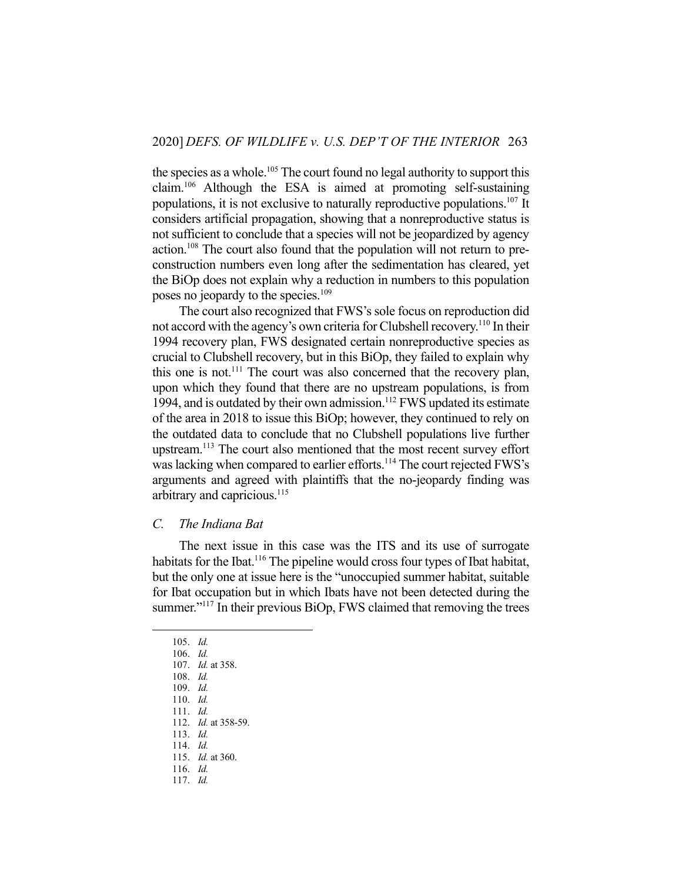the species as a whole.<sup>105</sup> The court found no legal authority to support this claim.106 Although the ESA is aimed at promoting self-sustaining populations, it is not exclusive to naturally reproductive populations.107 It considers artificial propagation, showing that a nonreproductive status is not sufficient to conclude that a species will not be jeopardized by agency action.108 The court also found that the population will not return to preconstruction numbers even long after the sedimentation has cleared, yet the BiOp does not explain why a reduction in numbers to this population poses no jeopardy to the species.<sup>109</sup>

 The court also recognized that FWS's sole focus on reproduction did not accord with the agency's own criteria for Clubshell recovery.<sup>110</sup> In their 1994 recovery plan, FWS designated certain nonreproductive species as crucial to Clubshell recovery, but in this BiOp, they failed to explain why this one is not.<sup>111</sup> The court was also concerned that the recovery plan, upon which they found that there are no upstream populations, is from 1994, and is outdated by their own admission.<sup>112</sup> FWS updated its estimate of the area in 2018 to issue this BiOp; however, they continued to rely on the outdated data to conclude that no Clubshell populations live further upstream.113 The court also mentioned that the most recent survey effort was lacking when compared to earlier efforts.<sup>114</sup> The court rejected FWS's arguments and agreed with plaintiffs that the no-jeopardy finding was arbitrary and capricious.<sup>115</sup>

## *C. The Indiana Bat*

 The next issue in this case was the ITS and its use of surrogate habitats for the Ibat.<sup>116</sup> The pipeline would cross four types of Ibat habitat, but the only one at issue here is the "unoccupied summer habitat, suitable for Ibat occupation but in which Ibats have not been detected during the summer."<sup>117</sup> In their previous BiOp, FWS claimed that removing the trees

115. *Id.* at 360.

 <sup>105.</sup> *Id.* 

 <sup>106.</sup> *Id.* 

 <sup>107.</sup> *Id.* at 358.

 <sup>108.</sup> *Id.*  109. *Id.* 

 <sup>110.</sup> *Id.* 

 <sup>111.</sup> *Id.* 

 <sup>112.</sup> *Id.* at 358-59.

 <sup>113.</sup> *Id.* 

 <sup>114.</sup> *Id.* 

 <sup>116.</sup> *Id.*  117. *Id.*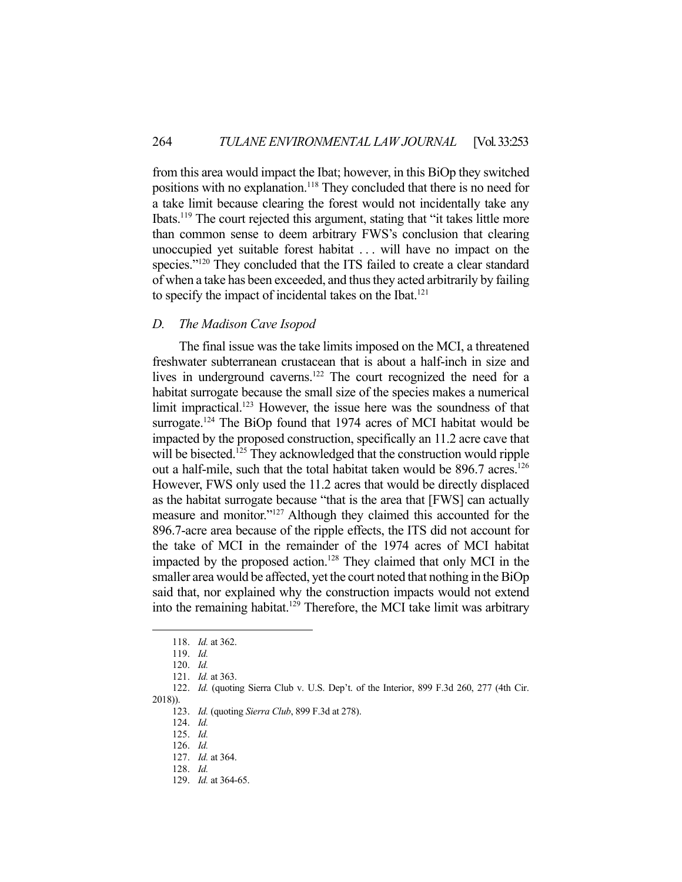from this area would impact the Ibat; however, in this BiOp they switched positions with no explanation.<sup>118</sup> They concluded that there is no need for a take limit because clearing the forest would not incidentally take any Ibats.119 The court rejected this argument, stating that "it takes little more than common sense to deem arbitrary FWS's conclusion that clearing unoccupied yet suitable forest habitat . . . will have no impact on the species."<sup>120</sup> They concluded that the ITS failed to create a clear standard of when a take has been exceeded, and thus they acted arbitrarily by failing to specify the impact of incidental takes on the Ibat.<sup>121</sup>

## *D. The Madison Cave Isopod*

 The final issue was the take limits imposed on the MCI, a threatened freshwater subterranean crustacean that is about a half-inch in size and lives in underground caverns.<sup>122</sup> The court recognized the need for a habitat surrogate because the small size of the species makes a numerical limit impractical.<sup>123</sup> However, the issue here was the soundness of that surrogate.<sup>124</sup> The BiOp found that 1974 acres of MCI habitat would be impacted by the proposed construction, specifically an 11.2 acre cave that will be bisected.<sup>125</sup> They acknowledged that the construction would ripple out a half-mile, such that the total habitat taken would be 896.7 acres.<sup>126</sup> However, FWS only used the 11.2 acres that would be directly displaced as the habitat surrogate because "that is the area that [FWS] can actually measure and monitor."127 Although they claimed this accounted for the 896.7-acre area because of the ripple effects, the ITS did not account for the take of MCI in the remainder of the 1974 acres of MCI habitat impacted by the proposed action.<sup>128</sup> They claimed that only MCI in the smaller area would be affected, yet the court noted that nothing in the BiOp said that, nor explained why the construction impacts would not extend into the remaining habitat.<sup>129</sup> Therefore, the MCI take limit was arbitrary

 <sup>118.</sup> *Id.* at 362.

 <sup>119.</sup> *Id.* 

 <sup>120.</sup> *Id.* 

 <sup>121.</sup> *Id.* at 363.

 <sup>122.</sup> *Id.* (quoting Sierra Club v. U.S. Dep't. of the Interior, 899 F.3d 260, 277 (4th Cir. 2018)).

 <sup>123.</sup> *Id.* (quoting *Sierra Club*, 899 F.3d at 278).

 <sup>124.</sup> *Id.* 

 <sup>125.</sup> *Id.* 

 <sup>126.</sup> *Id.*  127. *Id.* at 364.

 <sup>128.</sup> *Id.* 

 <sup>129.</sup> *Id.* at 364-65.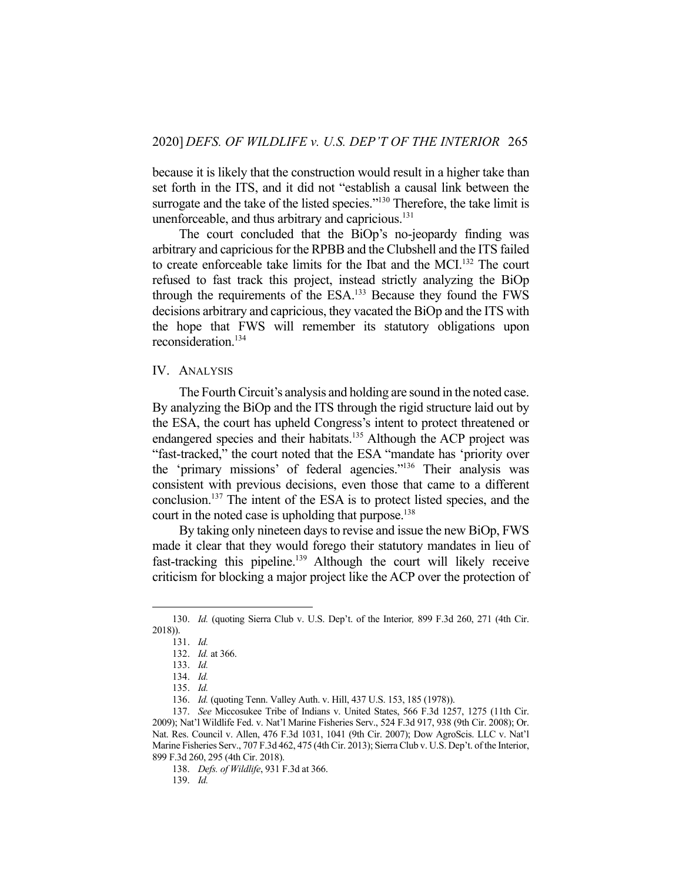because it is likely that the construction would result in a higher take than set forth in the ITS, and it did not "establish a causal link between the surrogate and the take of the listed species."<sup>130</sup> Therefore, the take limit is unenforceable, and thus arbitrary and capricious.<sup>131</sup>

 The court concluded that the BiOp's no-jeopardy finding was arbitrary and capricious for the RPBB and the Clubshell and the ITS failed to create enforceable take limits for the Ibat and the MCI.132 The court refused to fast track this project, instead strictly analyzing the BiOp through the requirements of the ESA.133 Because they found the FWS decisions arbitrary and capricious, they vacated the BiOp and the ITS with the hope that FWS will remember its statutory obligations upon reconsideration.<sup>134</sup>

### IV. ANALYSIS

 The Fourth Circuit's analysis and holding are sound in the noted case. By analyzing the BiOp and the ITS through the rigid structure laid out by the ESA, the court has upheld Congress's intent to protect threatened or endangered species and their habitats.<sup>135</sup> Although the ACP project was "fast-tracked," the court noted that the ESA "mandate has 'priority over the 'primary missions' of federal agencies."136 Their analysis was consistent with previous decisions, even those that came to a different conclusion.137 The intent of the ESA is to protect listed species, and the court in the noted case is upholding that purpose.<sup>138</sup>

 By taking only nineteen days to revise and issue the new BiOp, FWS made it clear that they would forego their statutory mandates in lieu of fast-tracking this pipeline.139 Although the court will likely receive criticism for blocking a major project like the ACP over the protection of

139. *Id.* 

 <sup>130.</sup> *Id.* (quoting Sierra Club v. U.S. Dep't. of the Interior*,* 899 F.3d 260, 271 (4th Cir. 2018)).

 <sup>131.</sup> *Id.* 

 <sup>132.</sup> *Id.* at 366.

 <sup>133.</sup> *Id.* 

 <sup>134.</sup> *Id.* 

 <sup>135.</sup> *Id.* 

 <sup>136.</sup> *Id.* (quoting Tenn. Valley Auth. v. Hill, 437 U.S. 153, 185 (1978)).

 <sup>137.</sup> *See* Miccosukee Tribe of Indians v. United States, 566 F.3d 1257, 1275 (11th Cir. 2009); Nat'l Wildlife Fed. v. Nat'l Marine Fisheries Serv., 524 F.3d 917, 938 (9th Cir. 2008); Or. Nat. Res. Council v. Allen, 476 F.3d 1031, 1041 (9th Cir. 2007); Dow AgroScis. LLC v. Nat'l Marine Fisheries Serv., 707 F.3d 462, 475 (4th Cir. 2013); Sierra Club v. U.S. Dep't. of the Interior, 899 F.3d 260, 295 (4th Cir. 2018).

 <sup>138.</sup> *Defs. of Wildlife*, 931 F.3d at 366.